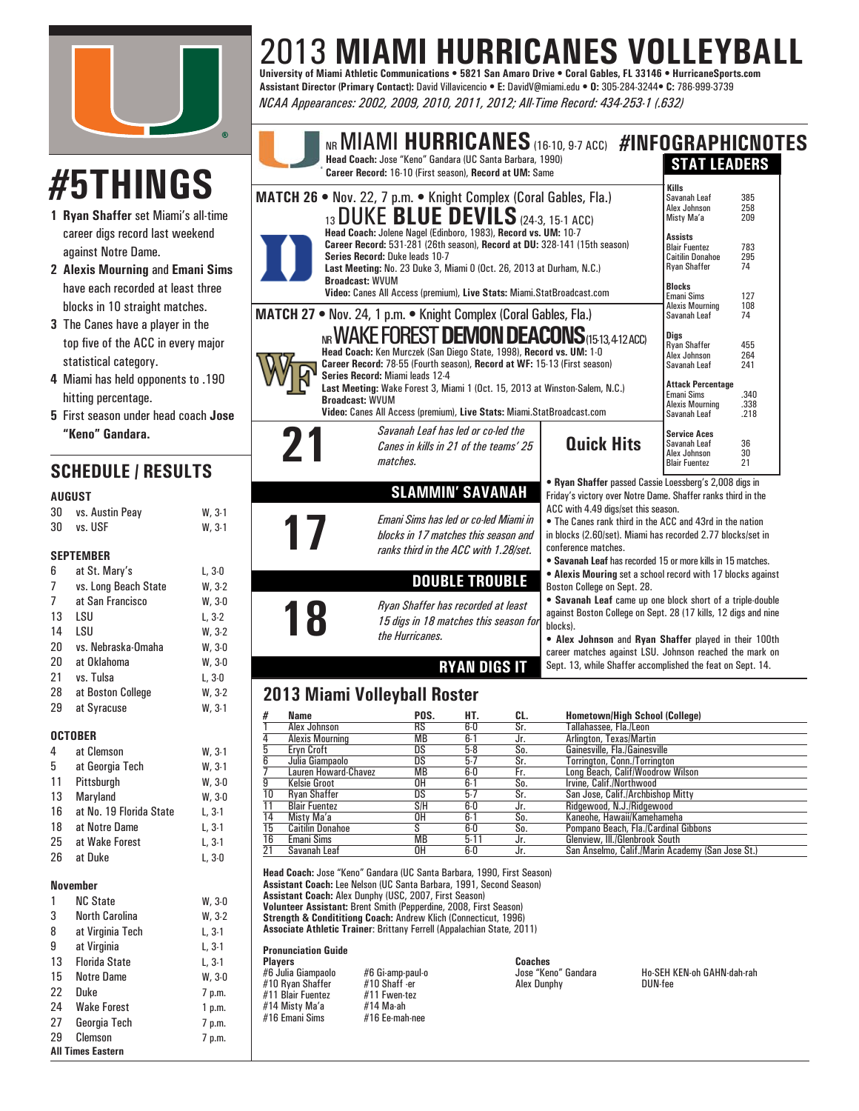

# 2013 **MIAMI HURRICANES VOLLEYBALL University of Miami Athletic Communications • 5821 San Amaro Drive • Coral Gables, FL 33146 • HurricaneSports.com**

**Assistant Director (Primary Contact):** David Villavicencio **• E:** DavidV@miami.edu **• O:** 305-284-3244**• C:** 786-999-3739 *NCAA Appearances: 2002, 2009, 2010, 2011, 2012; All-Time Record: 434-253-1 (.632)*

# **#5THINGS**

- **1 Ryan Shaffer** set Miami's all-time career digs record last weekend against Notre Dame.
- **2 Alexis Mourning** and **Emani Sims** have each recorded at least three blocks in 10 straight matches.
- **3** The Canes have a player in the top five of the ACC in every major statistical category.
- **4** Miami has held opponents to .190 hitting percentage.
- **5** First season under head coach **Jose "Keno" Gandara.**

# **SCHEDULE / RESULTS**

#### **AUGUST**

| 30 | vs. Austin Peay | $W. 3-1$ |
|----|-----------------|----------|
| 30 | vs. USF         | $W, 3-1$ |

#### **SEPTEMBER**

| 6              | at St. Mary's        | L, 3-0   |
|----------------|----------------------|----------|
| $\overline{7}$ | vs. Long Beach State | $W, 3-2$ |
| 7              | at San Francisco     | $W, 3-0$ |
| 13             | LSU                  | L, 3-2   |
| 14             | LSU                  | $W, 3-2$ |
| 20             | vs. Nebraska-Omaha   | W.30     |
| 20             | at Oklahoma          | W.30     |
| 21             | vs. Tulsa            | L. 3-0   |
| 28             | at Boston College    | $W, 3-2$ |
| 29             | at Syracuse          | $W, 3-1$ |
|                |                      |          |

#### **OCTOBER**

4 at Clemson W, 3-1 5 at Georgia Tech W, 3-1 11 Pittsburgh W, 3-0 13 Maryland W, 3-0 16 at No. 19 Florida State L, 3-1 18 at Notre Dame L, 3-1 25 at Wake Forest L, 3-1 26 at Duke L, 3-0

#### **November**

| 1  | <b>NC State</b>          | W.30     |
|----|--------------------------|----------|
| 3  | <b>North Carolina</b>    | $W, 3-2$ |
| 8  | at Virginia Tech         | $L, 3-1$ |
| 9  | at Virginia              | L, 3-1   |
| 13 | <b>Florida State</b>     | L, 3-1   |
| 15 | <b>Notre Dame</b>        | W, 3-0   |
| 22 | Duke                     | 7 p.m.   |
| 24 | <b>Wake Forest</b>       | 1 p.m.   |
| 27 | Georgia Tech             | 7 p.m.   |
| 29 | Clemson                  | 7 p.m.   |
|    | <b>All Times Eastern</b> |          |



**DOUBLE TROUBLE**

*15 digs in 18 matches this season for* 

**RYAN DIGS IT**

**17** *Emani Sims has led or co-led Miami in blocks in 17 matches this season and ranks third in the ACC with 1.28/set.* 

## **2013 Miami Volleyball Roster**

**18** *Ryan Shaffer has recorded at least 15 digs in 18 matches this season i*<br>the Hurricanes.

*the Hurricanes.*

| #               | Name                    | POS.      | HT.    | CL. | <b>Hometown/High School (College)</b>            |
|-----------------|-------------------------|-----------|--------|-----|--------------------------------------------------|
|                 | Alex Johnson            | RS        | 6-0    | Sr. | Tallahassee, Fla./Leon                           |
| 4               | <b>Alexis Mourning</b>  | <b>MB</b> | ն.1    | Jr. | Arlington, Texas/Martin                          |
| 5               | <b>Ervn Croft</b>       | DS        | 5-8    | So. | Gainesville, Fla./Gainesville                    |
| 6               | Julia Giampaolo         | DS        | 5.7    | Sr. | Torrinaton, Conn./Torrinaton                     |
|                 | Lauren Howard-Chavez    | MВ        | 6-0    | Fr. | Long Beach, Calif/Woodrow Wilson                 |
| $\overline{9}$  | <b>Kelsie Groot</b>     | OΗ        | $6-1$  | So. | Irvine, Calif./Northwood                         |
| 10              | <b>Rvan Shaffer</b>     | DS        | 5.7    | Sr. | San Jose, Calif./Archbishop Mitty                |
| 11              | <b>Blair Fuentez</b>    | S/H       | 6-0    | Jr. | Ridgewood, N.J./Ridgewood                        |
| $\overline{14}$ | Misty Ma'a              | OΗ        | $6-1$  | So. | Kaneohe, Hawaii/Kamehameha                       |
| $\overline{15}$ | <b>Caitilin Donahoe</b> | ς         | 6-0    | So. | Pompano Beach, Fla./Cardinal Gibbons             |
| $\frac{16}{21}$ | Emani Sims              | <b>MB</b> | $5-11$ | Jr. | Glenview, Ill./Glenbrook South                   |
|                 | Savanah Leaf            | OΗ        | 6-0    | Jr. | San Anselmo, Calif./Marin Academy (San Jose St.) |
|                 |                         |           |        |     |                                                  |

ACC with 4.49 digs/set this season.

conference matches.

blocks).

Boston College on Sept. 28.

• The Canes rank third in the ACC and 43rd in the nation in blocks (2.60/set). Miami has recorded 2.77 blocks/set in

• **Savanah Leaf** has recorded 15 or more kills in 15 matches. *•* **Alexis Mouring** set a school record with 17 blocks against

• **Savanah Leaf** came up one block short of a triple-double against Boston College on Sept. 28 (17 kills, 12 digs and nine

• **Alex Johnson** and **Ryan Shaffer** played in their 100th career matches against LSU. Johnson reached the mark on Sept. 13, while Shaffer accomplished the feat on Sept. 14.

**Head Coach:** Jose "Keno" Gandara (UC Santa Barbara, 1990, First Season) **Assistant Coach:** Lee Nelson (UC Santa Barbara, 1991, Second Season) **Assistant Coach:** Alex Dunphy (USC, 2007, First Season) **Volunteer Assistant:** Brent Smith (Pepperdine, 2008, First Season) **Strength & Condititiong Coach:** Andrew Klich (Connecticut, 1996) **Associate Athletic Trainer**: Brittany Ferrell (Appalachian State, 2011)

**Pronunciation Guide**

**Marking Property Constrainer:**<br>
#6 Gi-amp-paul-o<br>
#10 Shaff -er<br>
#11 Fwen-tez<br>
#14 Ma-ah, #10 Ryan Shaffer #10 Shaff -er<br>#11 Blair Fuentez #11 Fwen-tez #11 Blair Fuentez #11 Fwen-t<br>#14 Misty Ma'a #14 Ma-ah #14 Misty Ma'a #14 Ma-ah  $#16$  Emani Sims

**Players Coaches**

#6 Julia Giampaolo #6 Gi-amp-paul-o Jose "Keno" Gandara Ho-SEH KEN-oh GAHN-dah-rah